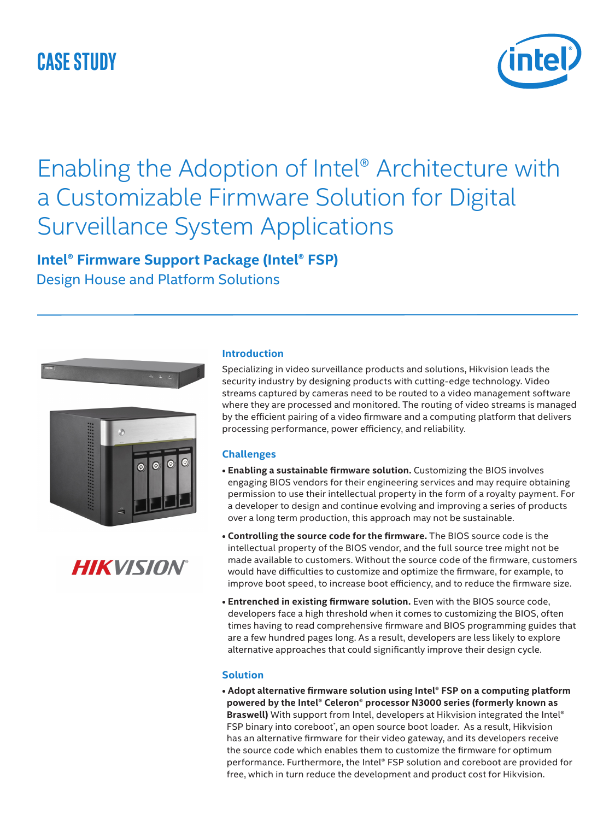## **CASE STUDY**



# Enabling the Adoption of Intel® Architecture with a Customizable Firmware Solution for Digital Surveillance System Applications

### **Intel® Firmware Support Package (Intel® FSP)** Design House and Platform Solutions



## **HIKVISION®**

#### **Introduction**

Specializing in video surveillance products and solutions, Hikvision leads the security industry by designing products with cutting-edge technology. Video streams captured by cameras need to be routed to a video management software where they are processed and monitored. The routing of video streams is managed by the efficient pairing of a video firmware and a computing platform that delivers processing performance, power efficiency, and reliability.

#### **Challenges**

- **Enabling a sustainable firmware solution.** Customizing the BIOS involves engaging BIOS vendors for their engineering services and may require obtaining permission to use their intellectual property in the form of a royalty payment. For a developer to design and continue evolving and improving a series of products over a long term production, this approach may not be sustainable.
- **Controlling the source code for the firmware.** The BIOS source code is the intellectual property of the BIOS vendor, and the full source tree might not be made available to customers. Without the source code of the firmware, customers would have difficulties to customize and optimize the firmware, for example, to improve boot speed, to increase boot efficiency, and to reduce the firmware size.
- **Entrenched in existing firmware solution.** Even with the BIOS source code, developers face a high threshold when it comes to customizing the BIOS, often times having to read comprehensive firmware and BIOS programming guides that are a few hundred pages long. As a result, developers are less likely to explore alternative approaches that could significantly improve their design cycle.

#### **Solution**

**• Adopt alternative firmware solution using Intel® FSP on a computing platform powered by the Intel® Celeron**® **processor N3000 series (formerly known as Braswell)** With support from Intel, developers at Hikvision integrated the Intel® FSP binary into coreboot', an open source boot loader. As a result, Hikvision has an alternative firmware for their video gateway, and its developers receive the source code which enables them to customize the firmware for optimum performance. Furthermore, the Intel® FSP solution and coreboot are provided for free, which in turn reduce the development and product cost for Hikvision.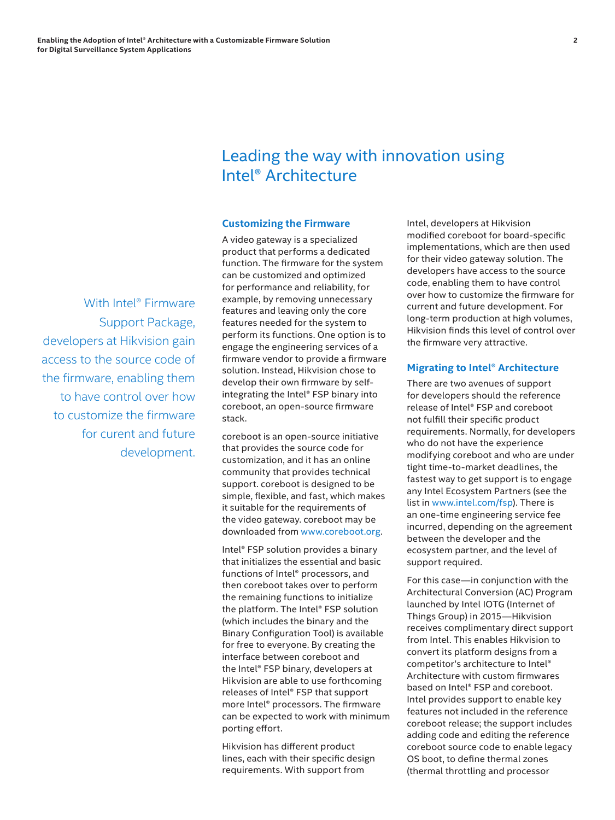### Leading the way with innovation using Intel® Architecture

#### **Customizing the Firmware**

 With Intel® Firmware Support Package, developers at Hikvision gain access to the source code of the firmware, enabling them to have control over how to customize the firmware for curent and future development. A video gateway is a specialized product that performs a dedicated function. The firmware for the system can be customized and optimized for performance and reliability, for example, by removing unnecessary features and leaving only the core features needed for the system to perform its functions. One option is to engage the engineering services of a firmware vendor to provide a firmware solution. Instead, Hikvision chose to develop their own firmware by selfintegrating the Intel® FSP binary into coreboot, an open-source firmware stack.

coreboot is an open-source initiative that provides the source code for customization, and it has an online community that provides technical support. coreboot is designed to be simple, flexible, and fast, which makes it suitable for the requirements of the video gateway. coreboot may be downloaded from [www.coreboot.org.](www.coreboot.org)

Intel® FSP solution provides a binary that initializes the essential and basic functions of Intel® processors, and then coreboot takes over to perform the remaining functions to initialize the platform. The Intel® FSP solution (which includes the binary and the Binary Configuration Tool) is available for free to everyone. By creating the interface between coreboot and the Intel® FSP binary, developers at Hikvision are able to use forthcoming releases of Intel® FSP that support more Intel® processors. The firmware can be expected to work with minimum porting effort.

Hikvision has different product lines, each with their specific design requirements. With support from

Intel, developers at Hikvision modified coreboot for board-specific implementations, which are then used for their video gateway solution. The developers have access to the source code, enabling them to have control over how to customize the firmware for current and future development. For long-term production at high volumes, Hikvision finds this level of control over the firmware very attractive.

#### **Migrating to Intel® Architecture**

There are two avenues of support for developers should the reference release of Intel® FSP and coreboot not fulfill their specific product requirements. Normally, for developers who do not have the experience modifying coreboot and who are under tight time-to-market deadlines, the fastest way to get support is to engage any Intel Ecosystem Partners (see the list in<www.intel.com/fsp>). There is an one-time engineering service fee incurred, depending on the agreement between the developer and the ecosystem partner, and the level of support required.

For this case—in conjunction with the Architectural Conversion (AC) Program launched by Intel IOTG (Internet of Things Group) in 2015—Hikvision receives complimentary direct support from Intel. This enables Hikvision to convert its platform designs from a competitor's architecture to Intel® Architecture with custom firmwares based on Intel® FSP and coreboot. Intel provides support to enable key features not included in the reference coreboot release; the support includes adding code and editing the reference coreboot source code to enable legacy OS boot, to define thermal zones (thermal throttling and processor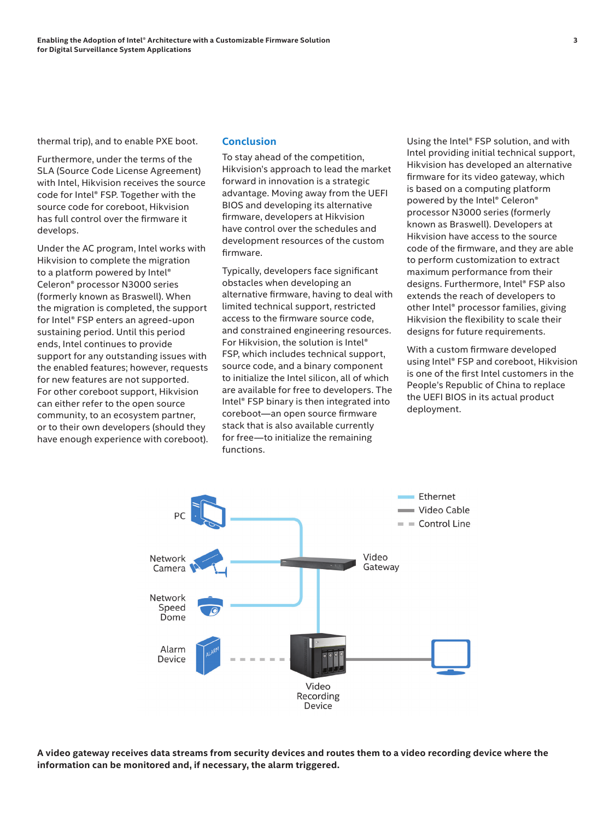thermal trip), and to enable PXE boot.

Furthermore, under the terms of the SLA (Source Code License Agreement) with Intel, Hikvision receives the source code for Intel® FSP. Together with the source code for coreboot, Hikvision has full control over the firmware it develops.

Under the AC program, Intel works with Hikvision to complete the migration to a platform powered by Intel® Celeron® processor N3000 series (formerly known as Braswell). When the migration is completed, the support for Intel® FSP enters an agreed-upon sustaining period. Until this period ends, Intel continues to provide support for any outstanding issues with the enabled features; however, requests for new features are not supported. For other coreboot support, Hikvision can either refer to the open source community, to an ecosystem partner, or to their own developers (should they have enough experience with coreboot).

#### **Conclusion**

To stay ahead of the competition, Hikvision's approach to lead the market forward in innovation is a strategic advantage. Moving away from the UEFI BIOS and developing its alternative firmware, developers at Hikvision have control over the schedules and development resources of the custom firmware.

Typically, developers face significant obstacles when developing an alternative firmware, having to deal with limited technical support, restricted access to the firmware source code, and constrained engineering resources. For Hikvision, the solution is Intel® FSP, which includes technical support, source code, and a binary component to initialize the Intel silicon, all of which are available for free to developers. The Intel® FSP binary is then integrated into coreboot—an open source firmware stack that is also available currently for free—to initialize the remaining functions.

Using the Intel® FSP solution, and with Intel providing initial technical support, Hikvision has developed an alternative firmware for its video gateway, which is based on a computing platform powered by the Intel® Celeron® processor N3000 series (formerly known as Braswell). Developers at Hikvision have access to the source code of the firmware, and they are able to perform customization to extract maximum performance from their designs. Furthermore, Intel® FSP also extends the reach of developers to other Intel® processor families, giving Hikvision the flexibility to scale their designs for future requirements.

With a custom firmware developed using Intel® FSP and coreboot, Hikvision is one of the first Intel customers in the People's Republic of China to replace the UEFI BIOS in its actual product deployment.



**A video gateway receives data streams from security devices and routes them to a video recording device where the information can be monitored and, if necessary, the alarm triggered.**